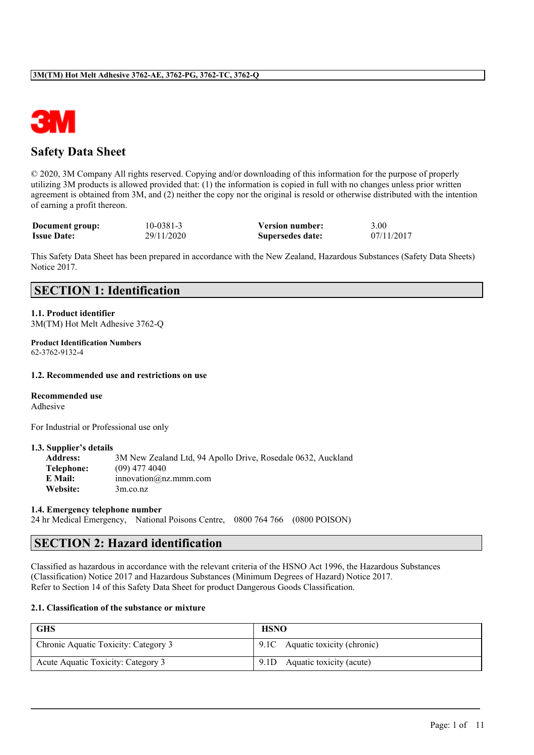

# **Safety Data Sheet**

© 2020, 3M Company All rights reserved. Copying and/or downloading of this information for the purpose of properly utilizing 3M products is allowed provided that: (1) the information is copied in full with no changes unless prior written agreement is obtained from 3M, and (2) neither the copy nor the original is resold or otherwise distributed with the intention of earning a profit thereon.

| Document group:    | 10-0381-3  | <b>Version number:</b> | 3.00       |
|--------------------|------------|------------------------|------------|
| <b>Issue Date:</b> | 29/11/2020 | Supersedes date:       | 07/11/2017 |

This Safety Data Sheet has been prepared in accordance with the New Zealand, Hazardous Substances (Safety Data Sheets) Notice 2017.

# **SECTION 1: Identification**

**1.1. Product identifier** 3M(TM) Hot Melt Adhesive 3762-Q

**Product Identification Numbers** 62-3762-9132-4

#### **1.2. Recommended use and restrictions on use**

#### **Recommended use**

Adhesive

For Industrial or Professional use only

#### **1.3. Supplier's details**

| <b>Address:</b> | 3M New Zealand Ltd, 94 Apollo Drive, Rosedale 0632, Auckland |
|-----------------|--------------------------------------------------------------|
| Telephone:      | $(09)$ 477 4040                                              |
| E Mail:         | innovation@nz.mmm.com                                        |
| Website:        | 3m.co.nz                                                     |

#### **1.4. Emergency telephone number**

24 hr Medical Emergency, National Poisons Centre, 0800 764 766 (0800 POISON)

# **SECTION 2: Hazard identification**

Classified as hazardous in accordance with the relevant criteria of the HSNO Act 1996, the Hazardous Substances (Classification) Notice 2017 and Hazardous Substances (Minimum Degrees of Hazard) Notice 2017. Refer to Section 14 of this Safety Data Sheet for product Dangerous Goods Classification.

#### **2.1. Classification of the substance or mixture**

| <b>GHS</b>                           | <b>HSNO</b>                     |  |  |
|--------------------------------------|---------------------------------|--|--|
| Chronic Aquatic Toxicity: Category 3 | 9.1C Aquatic toxicity (chronic) |  |  |
| Acute Aquatic Toxicity: Category 3   | 9.1D Aquatic toxicity (acute)   |  |  |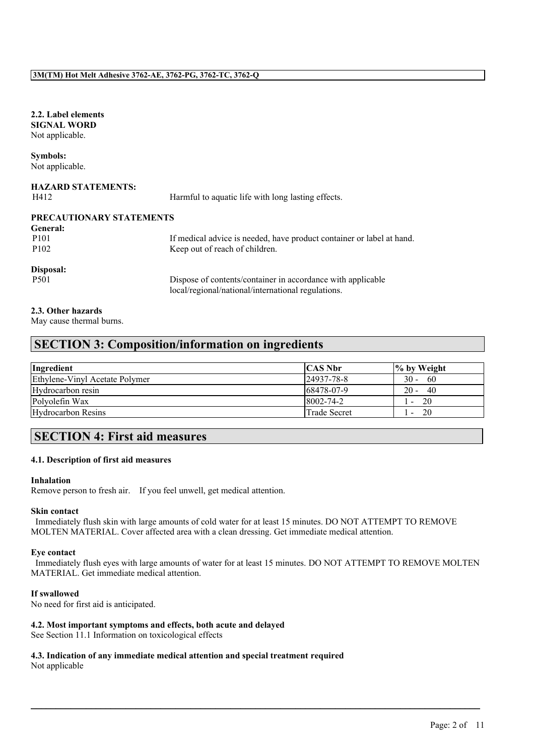#### **2.2. Label elements SIGNAL WORD** Not applicable.

#### **Symbols:** Not applicable.

| <b>HAZARD STATEMENTS:</b><br>H412 | Harmful to aquatic life with long lasting effects.                    |
|-----------------------------------|-----------------------------------------------------------------------|
| PRECAUTIONARY STATEMENTS          |                                                                       |
| <b>General:</b>                   |                                                                       |
| P <sub>101</sub>                  | If medical advice is needed, have product container or label at hand. |
| P <sub>102</sub>                  | Keep out of reach of children.                                        |
| Disposal:                         |                                                                       |
| P <sub>501</sub>                  | Dispose of contents/container in accordance with applicable           |
|                                   | local/regional/national/international regulations.                    |

#### **2.3. Other hazards**

May cause thermal burns.

# **SECTION 3: Composition/information on ingredients**

| Ingredient                     | <b>CAS Nbr</b>  | $\frac{1}{6}$ by Weight |
|--------------------------------|-----------------|-------------------------|
| Ethylene-Vinyl Acetate Polymer | 24937-78-8      | $30 -$<br>-60           |
| Hydrocarbon resin              | 68478-07-9      | $20 -$<br>- 40          |
| Polyolefin Wax                 | $8002 - 74 - 2$ | 20                      |
| Hydrocarbon Resins             | Trade Secret    | 20                      |

# **SECTION 4: First aid measures**

#### **4.1. Description of first aid measures**

#### **Inhalation**

Remove person to fresh air. If you feel unwell, get medical attention.

#### **Skin contact**

Immediately flush skin with large amounts of cold water for at least 15 minutes. DO NOT ATTEMPT TO REMOVE MOLTEN MATERIAL. Cover affected area with a clean dressing. Get immediate medical attention.

#### **Eye contact**

Immediately flush eyes with large amounts of water for at least 15 minutes. DO NOT ATTEMPT TO REMOVE MOLTEN MATERIAL. Get immediate medical attention.

 $\mathcal{L}_\mathcal{L} = \mathcal{L}_\mathcal{L} = \mathcal{L}_\mathcal{L} = \mathcal{L}_\mathcal{L} = \mathcal{L}_\mathcal{L} = \mathcal{L}_\mathcal{L} = \mathcal{L}_\mathcal{L} = \mathcal{L}_\mathcal{L} = \mathcal{L}_\mathcal{L} = \mathcal{L}_\mathcal{L} = \mathcal{L}_\mathcal{L} = \mathcal{L}_\mathcal{L} = \mathcal{L}_\mathcal{L} = \mathcal{L}_\mathcal{L} = \mathcal{L}_\mathcal{L} = \mathcal{L}_\mathcal{L} = \mathcal{L}_\mathcal{L}$ 

#### **If swallowed**

No need for first aid is anticipated.

#### **4.2. Most important symptoms and effects, both acute and delayed**

See Section 11.1 Information on toxicological effects

# **4.3. Indication of any immediate medical attention and special treatment required**

Not applicable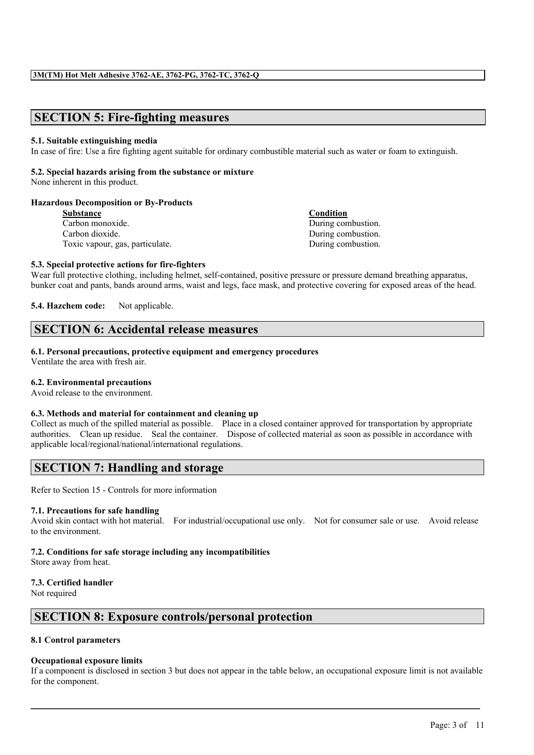# **SECTION 5: Fire-fighting measures**

#### **5.1. Suitable extinguishing media**

In case of fire: Use a fire fighting agent suitable for ordinary combustible material such as water or foam to extinguish.

#### **5.2. Special hazards arising from the substance or mixture**

None inherent in this product.

#### **Hazardous Decomposition or By-Products**

**Substance Condition** Carbon monoxide. During combustion. Carbon dioxide. During combustion. Toxic vapour, gas, particulate. During combustion.

#### **5.3. Special protective actions for fire-fighters**

Wear full protective clothing, including helmet, self-contained, positive pressure or pressure demand breathing apparatus, bunker coat and pants, bands around arms, waist and legs, face mask, and protective covering for exposed areas of the head.

**5.4. Hazchem code:** Not applicable.

# **SECTION 6: Accidental release measures**

#### **6.1. Personal precautions, protective equipment and emergency procedures**

Ventilate the area with fresh air.

#### **6.2. Environmental precautions**

Avoid release to the environment.

#### **6.3. Methods and material for containment and cleaning up**

Collect as much of the spilled material as possible. Place in a closed container approved for transportation by appropriate authorities. Clean up residue. Seal the container. Dispose of collected material as soon as possible in accordance with applicable local/regional/national/international regulations.

# **SECTION 7: Handling and storage**

Refer to Section 15 - Controls for more information

#### **7.1. Precautions for safe handling**

Avoid skin contact with hot material. For industrial/occupational use only. Not for consumer sale or use. Avoid release to the environment.

#### **7.2. Conditions for safe storage including any incompatibilities**

Store away from heat.

#### **7.3. Certified handler**

Not required

# **SECTION 8: Exposure controls/personal protection**

#### **8.1 Control parameters**

#### **Occupational exposure limits**

If a component is disclosed in section 3 but does not appear in the table below, an occupational exposure limit is not available for the component.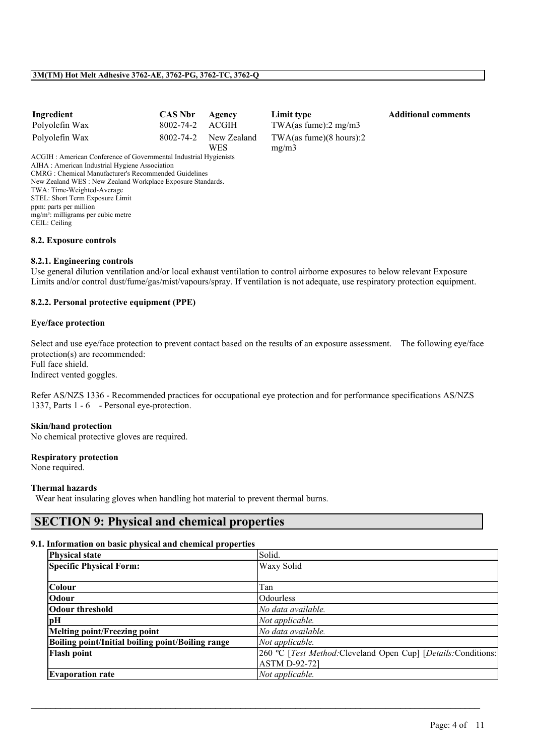| Ingredient     | CAS Nbr Agency        |                                     |
|----------------|-----------------------|-------------------------------------|
| Polyolefin Wax | $8002 - 74 - 2$ ACGIH |                                     |
| Polyolefin Wax |                       | 8002-74-2 New Zealand<br><b>WES</b> |

**Industrial Limit type CAS Additional comments** TWA(as fume):2 mg/m3 TWA(as fume)(8 hours):2 mg/m3

ACGIH : American Conference of Governmental Industrial Hygienists AIHA : American Industrial Hygiene Association CMRG : Chemical Manufacturer's Recommended Guidelines New Zealand WES : New Zealand Workplace Exposure Standards. TWA: Time-Weighted-Average STEL: Short Term Exposure Limit ppm: parts per million mg/m<sup>3</sup>: milligrams per cubic metre CEIL: Ceiling

#### **8.2. Exposure controls**

#### **8.2.1. Engineering controls**

Use general dilution ventilation and/or local exhaust ventilation to control airborne exposures to below relevant Exposure Limits and/or control dust/fume/gas/mist/vapours/spray. If ventilation is not adequate, use respiratory protection equipment.

#### **8.2.2. Personal protective equipment (PPE)**

#### **Eye/face protection**

Select and use eye/face protection to prevent contact based on the results of an exposure assessment. The following eye/face protection(s) are recommended: Full face shield. Indirect vented goggles.

Refer AS/NZS 1336 - Recommended practices for occupational eye protection and for performance specifications AS/NZS 1337, Parts 1 - 6 - Personal eye-protection.

#### **Skin/hand protection**

No chemical protective gloves are required.

#### **Respiratory protection**

None required.

#### **Thermal hazards**

Wear heat insulating gloves when handling hot material to prevent thermal burns.

# **SECTION 9: Physical and chemical properties**

#### **9.1. Information on basic physical and chemical properties**

| <b>Physical state</b>                             | Solid.                                                         |
|---------------------------------------------------|----------------------------------------------------------------|
| <b>Specific Physical Form:</b>                    | Waxy Solid                                                     |
|                                                   |                                                                |
| Colour                                            | Tan                                                            |
| Odour                                             | Odourless                                                      |
| <b>Odour threshold</b>                            | No data available.                                             |
| pН                                                | Not applicable.                                                |
| Melting point/Freezing point                      | No data available.                                             |
| Boiling point/Initial boiling point/Boiling range | Not applicable.                                                |
| <b>Flash point</b>                                | 260 °C [Test Method: Cleveland Open Cup] [Details: Conditions: |
|                                                   | <b>ASTM D-92-721</b>                                           |
| <b>Evaporation rate</b>                           | Not applicable.                                                |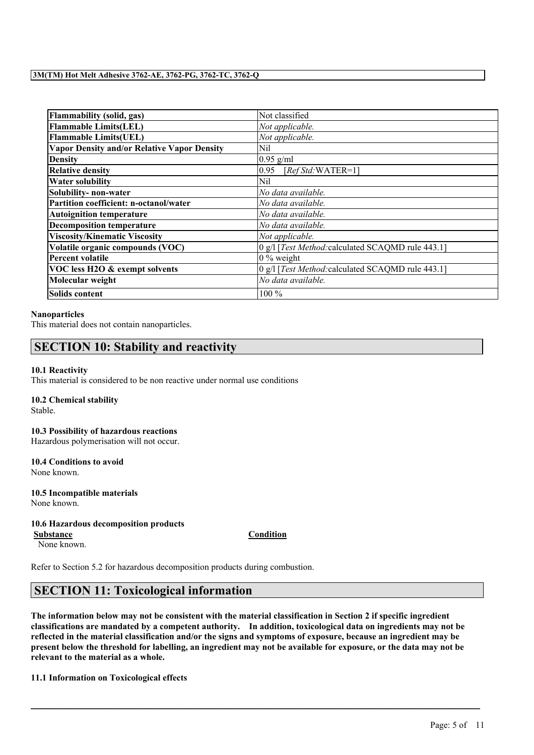| Flammability (solid, gas)                   | Not classified                                    |  |
|---------------------------------------------|---------------------------------------------------|--|
| <b>Flammable Limits(LEL)</b>                | Not applicable.                                   |  |
| <b>Flammable Limits(UEL)</b>                | Not applicable.                                   |  |
| Vapor Density and/or Relative Vapor Density | Nil                                               |  |
| <b>Density</b>                              | $0.95$ g/ml                                       |  |
| <b>Relative density</b>                     | 0.95<br>$[RefStd:WATER=1]$                        |  |
| <b>Water solubility</b>                     | Nil                                               |  |
| Solubility- non-water                       | No data available.                                |  |
| Partition coefficient: n-octanol/water      | No data available.                                |  |
| <b>Autoignition temperature</b>             | No data available.                                |  |
| <b>Decomposition temperature</b>            | No data available.                                |  |
| <b>Viscosity/Kinematic Viscosity</b>        | Not applicable.                                   |  |
| Volatile organic compounds (VOC)            | 0 g/l [Test Method: calculated SCAQMD rule 443.1] |  |
| Percent volatile                            | $0\%$ weight                                      |  |
| VOC less H2O & exempt solvents              | 0 g/l [Test Method: calculated SCAQMD rule 443.1] |  |
| Molecular weight                            | No data available.                                |  |
| Solids content                              | 100 %                                             |  |

#### **Nanoparticles**

This material does not contain nanoparticles.

# **SECTION 10: Stability and reactivity**

#### **10.1 Reactivity**

This material is considered to be non reactive under normal use conditions

#### **10.2 Chemical stability**

Stable.

# **10.3 Possibility of hazardous reactions**

Hazardous polymerisation will not occur.

**10.4 Conditions to avoid** None known.

**10.5 Incompatible materials** None known.

#### **10.6 Hazardous decomposition products**

None known.

**Substance Condition**

Refer to Section 5.2 for hazardous decomposition products during combustion.

# **SECTION 11: Toxicological information**

The information below may not be consistent with the material classification in Section 2 if specific ingredient **classifications are mandated by a competent authority. In addition, toxicological data on ingredients may not be** reflected in the material classification and/or the signs and symptoms of exposure, because an ingredient may be present below the threshold for labelling, an ingredient may not be available for exposure, or the data may not be **relevant to the material as a whole.**

 $\mathcal{L}_\mathcal{L} = \mathcal{L}_\mathcal{L} = \mathcal{L}_\mathcal{L} = \mathcal{L}_\mathcal{L} = \mathcal{L}_\mathcal{L} = \mathcal{L}_\mathcal{L} = \mathcal{L}_\mathcal{L} = \mathcal{L}_\mathcal{L} = \mathcal{L}_\mathcal{L} = \mathcal{L}_\mathcal{L} = \mathcal{L}_\mathcal{L} = \mathcal{L}_\mathcal{L} = \mathcal{L}_\mathcal{L} = \mathcal{L}_\mathcal{L} = \mathcal{L}_\mathcal{L} = \mathcal{L}_\mathcal{L} = \mathcal{L}_\mathcal{L}$ 

#### **11.1 Information on Toxicological effects**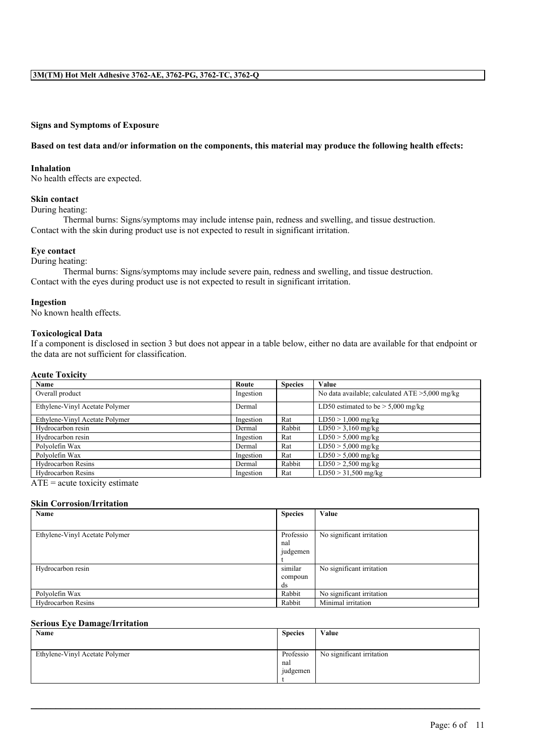#### **Signs and Symptoms of Exposure**

#### Based on test data and/or information on the components, this material may produce the following health effects:

#### **Inhalation**

No health effects are expected.

#### **Skin contact**

During heating:

Thermal burns: Signs/symptoms may include intense pain, redness and swelling, and tissue destruction. Contact with the skin during product use is not expected to result in significant irritation.

#### **Eye contact**

During heating:

Thermal burns: Signs/symptoms may include severe pain, redness and swelling, and tissue destruction. Contact with the eyes during product use is not expected to result in significant irritation.

#### **Ingestion**

No known health effects.

#### **Toxicological Data**

If a component is disclosed in section 3 but does not appear in a table below, either no data are available for that endpoint or the data are not sufficient for classification.

#### **Acute Toxicity**

| Name                           | Route     | <b>Species</b> | Value                                             |
|--------------------------------|-----------|----------------|---------------------------------------------------|
| Overall product                | Ingestion |                | No data available; calculated $ATE > 5,000$ mg/kg |
| Ethylene-Vinyl Acetate Polymer | Dermal    |                | LD50 estimated to be $> 5,000$ mg/kg              |
| Ethylene-Vinyl Acetate Polymer | Ingestion | Rat            | $LD50 > 1,000$ mg/kg                              |
| Hydrocarbon resin              | Dermal    | Rabbit         | $LD50 > 3,160$ mg/kg                              |
| Hydrocarbon resin              | Ingestion | Rat            | $LD50 > 5,000$ mg/kg                              |
| Polvolefin Wax                 | Dermal    | Rat            | $LD50 > 5,000$ mg/kg                              |
| Polvolefin Wax                 | Ingestion | Rat            | $LD50 > 5,000$ mg/kg                              |
| <b>Hydrocarbon Resins</b>      | Dermal    | Rabbit         | $LD50 > 2,500$ mg/kg                              |
| <b>Hydrocarbon Resins</b>      | Ingestion | Rat            | $LD50 > 31,500$ mg/kg                             |

 $ATE = acute$  toxicity estimate

#### **Skin Corrosion/Irritation**

| Name                           | <b>Species</b> | Value                     |
|--------------------------------|----------------|---------------------------|
|                                |                |                           |
| Ethylene-Vinyl Acetate Polymer | Professio      | No significant irritation |
|                                | nal            |                           |
|                                | judgemen       |                           |
|                                |                |                           |
| Hydrocarbon resin              | similar        | No significant irritation |
|                                | compoun        |                           |
|                                | ds             |                           |
| Polyolefin Wax                 | Rabbit         | No significant irritation |
| <b>Hydrocarbon Resins</b>      | Rabbit         | Minimal irritation        |

#### **Serious Eye Damage/Irritation**

| Name                           | <b>Species</b>               | Value                     |
|--------------------------------|------------------------------|---------------------------|
| Ethylene-Vinyl Acetate Polymer | Professio<br>nal<br>judgemen | No significant irritation |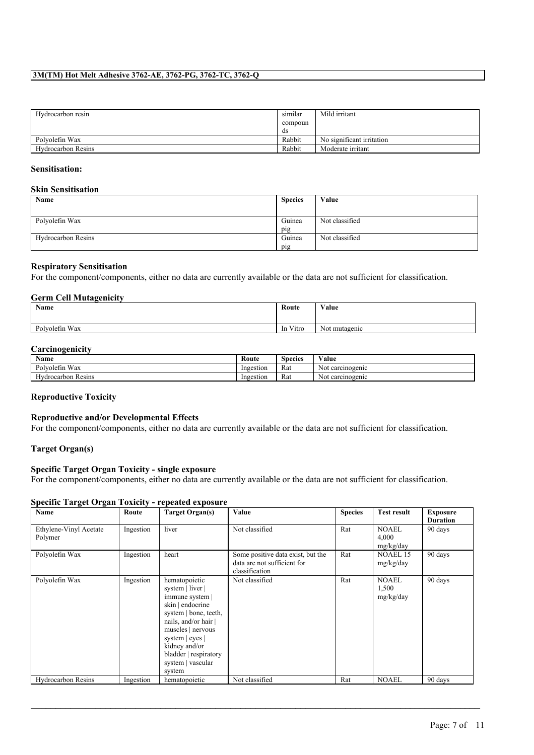| Hydrocarbon resin  | similar | Mild irritant             |
|--------------------|---------|---------------------------|
|                    | compoun |                           |
|                    | ds      |                           |
| Polvolefin Wax     | Rabbit  | No significant irritation |
| Hydrocarbon Resins | Rabbit  | Moderate irritant         |

#### **Sensitisation:**

#### **Skin Sensitisation**

| Name                      | <b>Species</b> | Value          |
|---------------------------|----------------|----------------|
|                           |                |                |
| Polyolefin Wax            | Guinea         | Not classified |
|                           | pig            |                |
| <b>Hydrocarbon Resins</b> | Guinea         | Not classified |
|                           | pig            |                |

#### **Respiratory Sensitisation**

For the component/components, either no data are currently available or the data are not sufficient for classification.

#### **Germ Cell Mutagenicity**

| Name           | Route                   | Value                         |
|----------------|-------------------------|-------------------------------|
| Polvolefin Wax | Vitro<br><sub>1</sub> n | $\mathbf{v}$<br>Not mutagenic |

#### **Carcinogenicity**

| $\mathbf{v}$<br>Name             | Route     | <b>Species</b> | $\mathbf{v}$ $\mathbf{v}$<br>√alue |
|----------------------------------|-----------|----------------|------------------------------------|
| Wax<br>Polvolefin                | Ingestion | Rat            | Not carcinogenic                   |
| $-$<br><b>Hydrocarbon Resins</b> | Ingestion | Rat            | Not carcinogenic                   |

#### **Reproductive Toxicity**

#### **Reproductive and/or Developmental Effects**

For the component/components, either no data are currently available or the data are not sufficient for classification.

#### **Target Organ(s)**

#### **Specific Target Organ Toxicity - single exposure**

For the component/components, either no data are currently available or the data are not sufficient for classification.

#### **Specific Target Organ Toxicity - repeated exposure**

| Name                              | Route     | <b>Target Organ(s)</b>                                                                                                                                                                                                                     | Value                                                                              | <b>Species</b> | <b>Test result</b>                 | <b>Exposure</b>            |
|-----------------------------------|-----------|--------------------------------------------------------------------------------------------------------------------------------------------------------------------------------------------------------------------------------------------|------------------------------------------------------------------------------------|----------------|------------------------------------|----------------------------|
| Ethylene-Vinyl Acetate<br>Polymer | Ingestion | liver                                                                                                                                                                                                                                      | Not classified                                                                     | Rat            | <b>NOAEL</b><br>4,000<br>mg/kg/day | <b>Duration</b><br>90 days |
| Polyolefin Wax                    | Ingestion | heart                                                                                                                                                                                                                                      | Some positive data exist, but the<br>data are not sufficient for<br>classification | Rat            | NOAEL 15<br>mg/kg/day              | 90 days                    |
| Polyolefin Wax                    | Ingestion | hematopoietic<br>system   liver  <br>immune system  <br>skin   endocrine<br>system   bone, teeth,<br>nails, and/or hair  <br>muscles   nervous<br>system   eyes  <br>kidney and/or<br>bladder   respiratory<br>system   vascular<br>system | Not classified                                                                     | Rat            | <b>NOAEL</b><br>1,500<br>mg/kg/day | 90 days                    |
| <b>Hydrocarbon Resins</b>         | Ingestion | hematopoietic                                                                                                                                                                                                                              | Not classified                                                                     | Rat            | <b>NOAEL</b>                       | 90 days                    |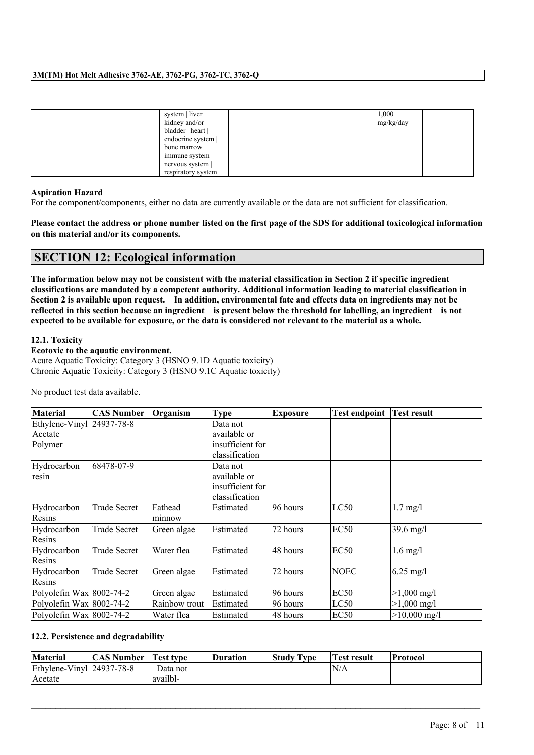| system   liver     | 1,000     |
|--------------------|-----------|
| kidney and/or      | mg/kg/day |
| bladder   heart    |           |
| endocrine system   |           |
| bone marrow        |           |
| immune system      |           |
| nervous system     |           |
| respiratory system |           |

#### **Aspiration Hazard**

For the component/components, either no data are currently available or the data are not sufficient for classification.

Please contact the address or phone number listed on the first page of the SDS for additional toxicological information **on this material and/or its components.**

# **SECTION 12: Ecological information**

The information below may not be consistent with the material classification in Section 2 if specific ingredient **classifications are mandated by a competent authority. Additional information leading to material classification in** Section 2 is available upon request. In addition, environmental fate and effects data on ingredients may not be reflected in this section because an ingredient is present below the threshold for labelling, an ingredient is not expected to be available for exposure, or the data is considered not relevant to the material as a whole.

#### **12.1. Toxicity**

**Ecotoxic to the aquatic environment.** Acute Aquatic Toxicity: Category 3 (HSNO 9.1D Aquatic toxicity) Chronic Aquatic Toxicity: Category 3 (HSNO 9.1C Aquatic toxicity)

No product test data available.

| <b>Material</b>              | <b>CAS Number</b>   | Organism      | Type             | Exposure  | <b>Test endpoint</b> | <b>Test result</b>    |
|------------------------------|---------------------|---------------|------------------|-----------|----------------------|-----------------------|
| Ethylene-Vinyl 24937-78-8    |                     |               | Data not         |           |                      |                       |
| Acetate                      |                     |               | available or     |           |                      |                       |
| Polymer                      |                     |               | insufficient for |           |                      |                       |
|                              |                     |               | classification   |           |                      |                       |
| Hydrocarbon                  | 68478-07-9          |               | Data not         |           |                      |                       |
| resin                        |                     |               | available or     |           |                      |                       |
|                              |                     |               | insufficient for |           |                      |                       |
|                              |                     |               | classification   |           |                      |                       |
| Hydrocarbon                  | Trade Secret        | Fathead       | Estimated        | 196 hours | LC50                 | $1.7$ mg/l            |
| Resins                       |                     | minnow        |                  |           |                      |                       |
| Hydrocarbon                  | Trade Secret        | Green algae   | Estimated        | 72 hours  | EC50                 | $39.6$ mg/l           |
| Resins                       |                     |               |                  |           |                      |                       |
| Hydrocarbon                  | <b>Trade Secret</b> | Water flea    | Estimated        | 48 hours  | EC <sub>50</sub>     | $1.6$ mg/l            |
| Resins                       |                     |               |                  |           |                      |                       |
| Hydrocarbon                  | Trade Secret        | Green algae   | Estimated        | 72 hours  | <b>NOEC</b>          | $6.25 \text{ mg}/1$   |
| Resins                       |                     |               |                  |           |                      |                       |
| Polyolefin Wax $ 8002-74-2 $ |                     | Green algae   | Estimated        | 96 hours  | EC <sub>50</sub>     | $>1,000 \text{ mg/l}$ |
| Polyolefin Wax $ 8002-74-2 $ |                     | Rainbow trout | Estimated        | 96 hours  | LC50                 | $>1,000 \text{ mg/l}$ |
| Polyolefin Wax 8002-74-2     |                     | Water flea    | Estimated        | 148 hours | EC <sub>50</sub>     | $>10,000$ mg/l        |

#### **12.2. Persistence and degradability**

| <b>Material</b>                                               | <b>CAS Number</b> | <b>Test type</b> | Duration | Study Type | Test result | <b>Protocol</b> |
|---------------------------------------------------------------|-------------------|------------------|----------|------------|-------------|-----------------|
| Ethylene-Vinyl $\left  \frac{24937-78-8}{24937-78-8} \right $ |                   | Data not         |          |            | IN/A        |                 |
| Acetate                                                       |                   | lavailbl-        |          |            |             |                 |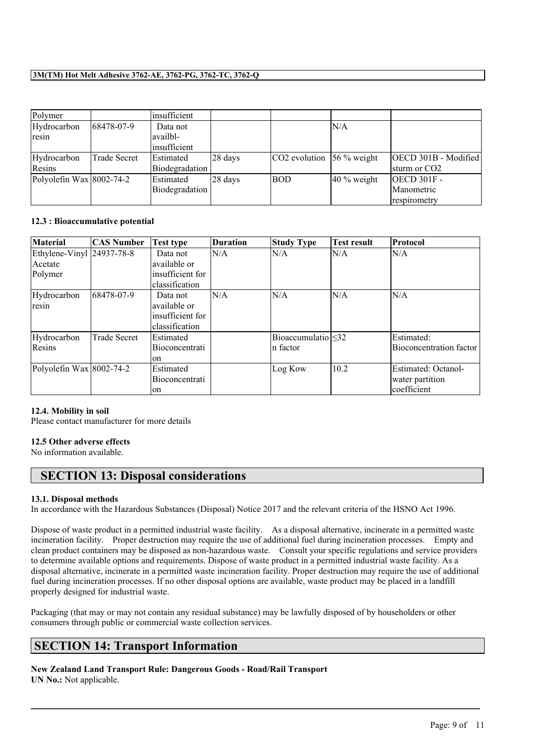| Polymer                      |              | linsufficient  |         |                                 |                |                          |
|------------------------------|--------------|----------------|---------|---------------------------------|----------------|--------------------------|
| Hydrocarbon                  | 68478-07-9   | Data not       |         |                                 | ln/a           |                          |
| resin                        |              | availbl-       |         |                                 |                |                          |
|                              |              | linsufficient  |         |                                 |                |                          |
| Hydrocarbon                  | Trade Secret | Estimated      | 28 days | $ CO2$ evolution $ 56\%$ weight |                | OECD 301B - Modified     |
| Resins                       |              | Biodegradation |         |                                 |                | sturm or CO <sub>2</sub> |
| Polyolefin Wax $ 8002-74-2 $ |              | Estimated      | 28 davs | BOD                             | $ 40\%$ weight | <b>OECD 301F-</b>        |
|                              |              | Biodegradation |         |                                 |                | Manometric               |
|                              |              |                |         |                                 |                | respirometry             |

#### **12.3 : Bioaccumulative potential**

| <b>Material</b>              | <b>CAS Number</b>   | <b>Test type</b> | <b>Duration</b> | Study Type                       | <b>Test result</b> | Protocol                |
|------------------------------|---------------------|------------------|-----------------|----------------------------------|--------------------|-------------------------|
| Ethylene-Vinyl 24937-78-8    |                     | Data not         | N/A             | N/A                              | N/A                | N/A                     |
| Acetate                      |                     | available or     |                 |                                  |                    |                         |
| Polymer                      |                     | insufficient for |                 |                                  |                    |                         |
|                              |                     | classification   |                 |                                  |                    |                         |
| Hydrocarbon                  | 68478-07-9          | Data not         | N/A             | N/A                              | N/A                | N/A                     |
| resin                        |                     | available or     |                 |                                  |                    |                         |
|                              |                     | insufficient for |                 |                                  |                    |                         |
|                              |                     | classification   |                 |                                  |                    |                         |
| Hydrocarbon                  | <b>Trade Secret</b> | Estimated        |                 | $\text{Bioaccumulation} \leq 32$ |                    | Estimated:              |
| Resins                       |                     | Bioconcentrati   |                 | In factor                        |                    | Bioconcentration factor |
|                              |                     | 0n               |                 |                                  |                    |                         |
| Polyolefin Wax $ 8002-74-2 $ |                     | Estimated        |                 | Log Kow                          | 10.2               | Estimated: Octanol-     |
|                              |                     | Bioconcentrati   |                 |                                  |                    | water partition         |
|                              |                     | on               |                 |                                  |                    | coefficient             |

#### **12.4. Mobility in soil**

Please contact manufacturer for more details

#### **12.5 Other adverse effects**

No information available.

# **SECTION 13: Disposal considerations**

#### **13.1. Disposal methods**

In accordance with the Hazardous Substances (Disposal) Notice 2017 and the relevant criteria of the HSNO Act 1996.

Dispose of waste product in a permitted industrial waste facility. As a disposal alternative, incinerate in a permitted waste incineration facility. Proper destruction may require the use of additional fuel during incineration processes. Empty and clean product containers may be disposed as non-hazardous waste. Consult your specific regulations and service providers to determine available options and requirements. Dispose of waste product in a permitted industrial waste facility. As a disposal alternative, incinerate in a permitted waste incineration facility. Proper destruction may require the use of additional fuel during incineration processes. If no other disposal options are available, waste product may be placed in a landfill properly designed for industrial waste.

Packaging (that may or may not contain any residual substance) may be lawfully disposed of by householders or other consumers through public or commercial waste collection services.

 $\mathcal{L}_\mathcal{L} = \mathcal{L}_\mathcal{L} = \mathcal{L}_\mathcal{L} = \mathcal{L}_\mathcal{L} = \mathcal{L}_\mathcal{L} = \mathcal{L}_\mathcal{L} = \mathcal{L}_\mathcal{L} = \mathcal{L}_\mathcal{L} = \mathcal{L}_\mathcal{L} = \mathcal{L}_\mathcal{L} = \mathcal{L}_\mathcal{L} = \mathcal{L}_\mathcal{L} = \mathcal{L}_\mathcal{L} = \mathcal{L}_\mathcal{L} = \mathcal{L}_\mathcal{L} = \mathcal{L}_\mathcal{L} = \mathcal{L}_\mathcal{L}$ 

# **SECTION 14: Transport Information**

**New Zealand Land Transport Rule: Dangerous Goods - Road/Rail Transport UN No.:** Not applicable.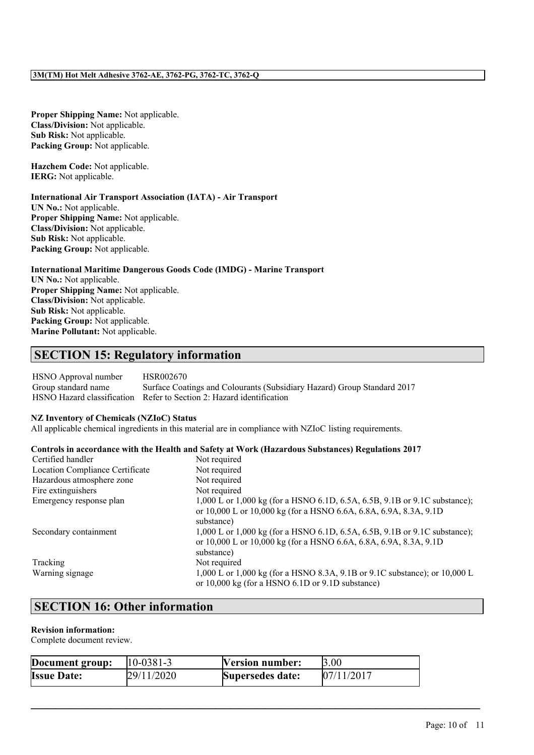**Proper Shipping Name:** Not applicable. **Class/Division:** Not applicable. **Sub Risk:** Not applicable. **Packing Group:** Not applicable.

**Hazchem Code:** Not applicable. **IERG:** Not applicable.

# **International Air Transport Association (IATA) - Air Transport**

**UN No.:** Not applicable. **Proper Shipping Name:** Not applicable. **Class/Division:** Not applicable. **Sub Risk:** Not applicable. **Packing Group:** Not applicable.

# **International Maritime Dangerous Goods Code (IMDG) - Marine Transport**

**UN No.:** Not applicable. **Proper Shipping Name:** Not applicable. **Class/Division:** Not applicable. **Sub Risk:** Not applicable. **Packing Group:** Not applicable. **Marine Pollutant:** Not applicable.

# **SECTION 15: Regulatory information**

HSNO Approval number HSR002670 Group standard name Surface Coatings and Colourants (Subsidiary Hazard) Group Standard 2017 HSNO Hazard classification Refer to Section 2: Hazard identification

#### **NZ Inventory of Chemicals (NZIoC) Status**

All applicable chemical ingredients in this material are in compliance with NZIoC listing requirements.

#### **Controls in accordance with the Health and Safety at Work (Hazardous Substances) Regulations 2017**

| Certified handler               | Not required                                                               |
|---------------------------------|----------------------------------------------------------------------------|
| Location Compliance Certificate | Not required                                                               |
| Hazardous atmosphere zone       | Not required                                                               |
| Fire extinguishers              | Not required                                                               |
| Emergency response plan         | 1,000 L or 1,000 kg (for a HSNO 6.1D, 6.5A, 6.5B, 9.1B or 9.1C substance); |
|                                 | or 10,000 L or 10,000 kg (for a HSNO 6.6A, 6.8A, 6.9A, 8.3A, 9.1D)         |
|                                 | substance)                                                                 |
| Secondary containment           | 1,000 L or 1,000 kg (for a HSNO 6.1D, 6.5A, 6.5B, 9.1B or 9.1C substance); |
|                                 | or 10,000 L or 10,000 kg (for a HSNO 6.6A, 6.8A, 6.9A, 8.3A, 9.1D)         |
|                                 | substance)                                                                 |
| Tracking                        | Not required                                                               |
| Warning signage                 | 1,000 L or 1,000 kg (for a HSNO 8.3A, 9.1B or 9.1C substance); or 10,000 L |
|                                 | or $10,000$ kg (for a HSNO 6.1D or 9.1D substance)                         |

# **SECTION 16: Other information**

#### **Revision information:**

Complete document review.

| Document group:    | $ 10-0381-3 $ | Version number:  | 3.00       |
|--------------------|---------------|------------------|------------|
| <b>Issue Date:</b> | 29/11/2020    | Supersedes date: | 07/11/2017 |